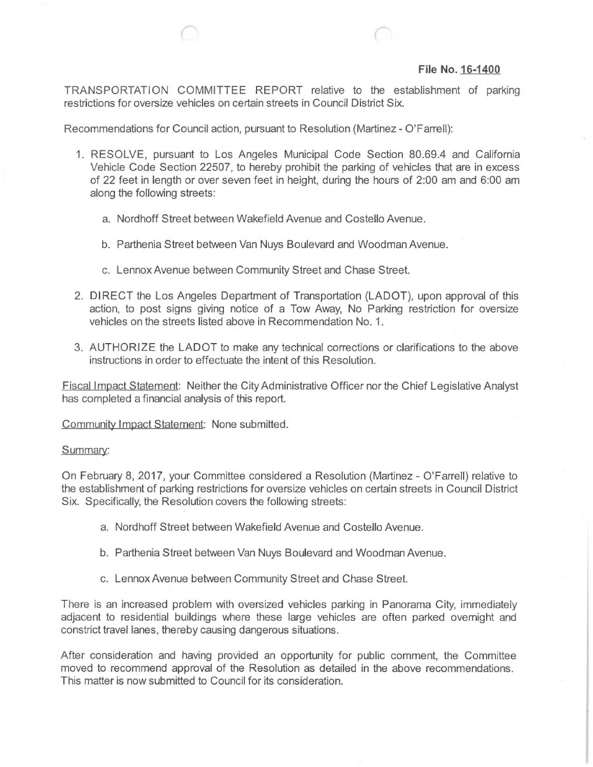## **File No. 16-1400**

TRANSPORTATION COMMITTEE REPORT relative to the establishment of parking restrictions for oversize vehicles on certain streets in Council District Six.

Recommendations for Council action, pursuant to Resolution (Martinez - O'Farrell):

- 1. RESOLVE, pursuant to Los Angeles Municipal Code Section 80.69.4 and California Vehicle Code Section 22507, to hereby prohibit the parking of vehicles that are in excess of 22 feet in length or over seven feet in height, during the hours of 2:00 am and 6:00 am along the following streets:
	- a. Nordhoff Street between Wakefield Avenue and Costello Avenue.
	- b. Parthenia Street between Van Nuys Boulevard and Woodman Avenue,
	- c. Lennox Avenue between Community Street and Chase Street.
- 2. DIRECT the Los Angeles Department of Transportation (LADOT), upon approval of this action, to post signs giving notice of a Tow Away, No Parking restriction for oversize vehicles on the streets listed above in Recommendation No. <sup>1</sup>
- 3. AUTHORIZE the LADOT to make any technical corrections or clarifications to the above instructions in order to effectuate the intent of this Resolution.

Fiscal Impact Statement: Neither the CityAdministrative Officer nor the Chief Legislative Analyst has completed a financial analysis of this report.

Community Impact Statement: None submitted.

## Summary:

On February 8, 2017, your Committee considered a Resolution (Martinez - O'Farrell) relative to the establishment of parking restrictions for oversize vehicles on certain streets in Council District Six. Specifically, the Resolution covers the following streets:

- a. Nordhoff Street between Wakefield Avenue and Costello Avenue.
- b. Parthenia Street between Van Nuys Boulevard and Woodman Avenue.
- c. LennoxAvenue between Community Street and Chase Street.

There is an increased problem with oversized vehicles parking in Panorama City, immediately adjacent to residential buildings where these large vehicles are often parked overnight and constrict travel lanes, thereby causing dangerous situations.

After consideration and having provided an opportunity for public comment, the Committee moved to recommend approval of the Resolution as detailed in the above recommendations. This matter is now submitted to Council for its consideration.